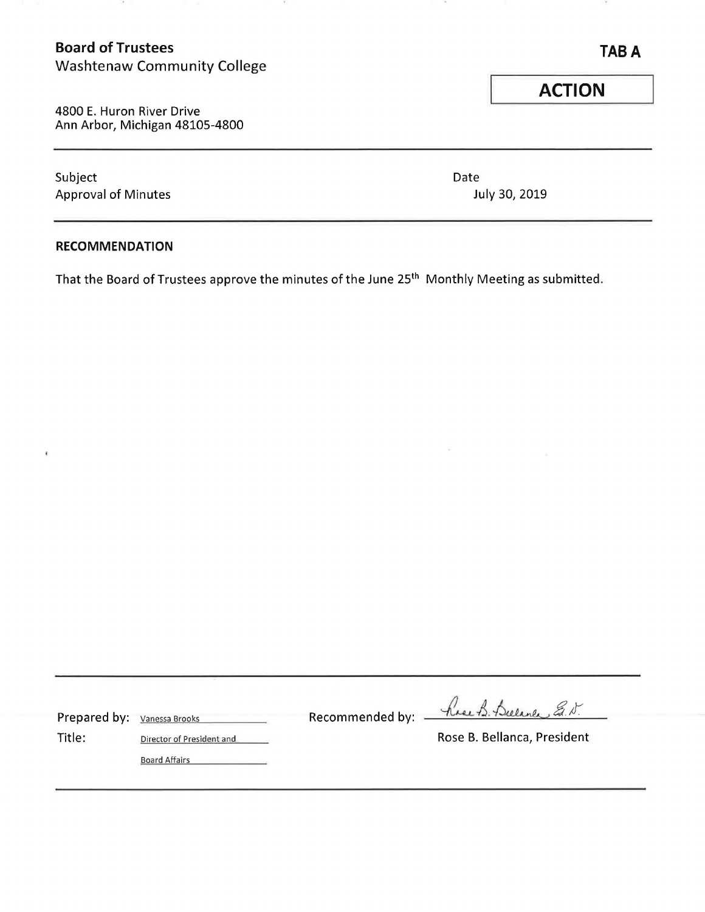# **Board of Trustees**

.

Washtenaw Community College

4800 E. Huron River Drive Ann Arbor, Michigan 48105-4800

25

Subject Date Approval of Minutes and Approval of Minutes Approval of Minutes and Approval and Approval of Minutes and Approval and Approval and Approval and Approval and Approval and Approval and Approval and Approval and Approval and

## **RECOMMENDATION**

¢

That the Board of Trustees approve the minutes of the June 25<sup>th</sup> Monthly Meeting as submitted.

| Prepared by: Vanessa Brooks |                           | Recommended by: $\overrightarrow{\phantom{a}}$ | have B. Bulance E.N.        |  |
|-----------------------------|---------------------------|------------------------------------------------|-----------------------------|--|
| Title:                      | Director of President and |                                                | Rose B. Bellanca, President |  |
|                             | <b>Board Affairs</b>      |                                                |                             |  |

**TABA** 

œ.

**ACTION**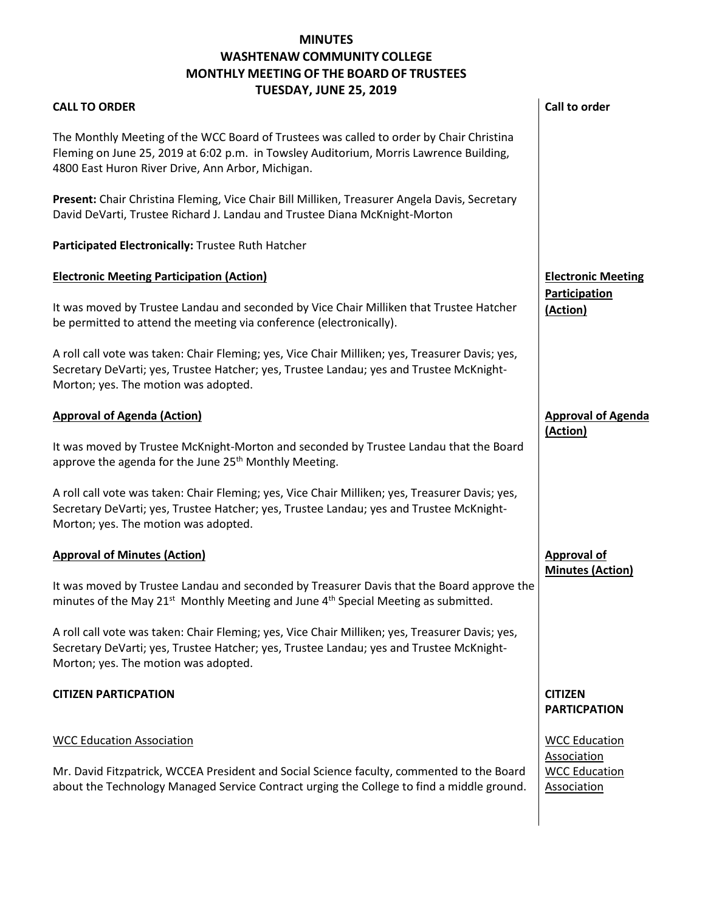## **MONTHLY MEETING OF THE BOARD OF TRUSTEES MINUTES WASHTENAW COMMUNITY COLLEGE**

## **TUESDAY, JUNE 25, 2019**  The Monthly Meeting of the WCC Board of Trustees was called to order by Chair Christina **Present:** Chair Christina Fleming, Vice Chair Bill Milliken, Treasurer Angela Davis, Secretary David DeVarti, Trustee Richard J. Landau and Trustee Diana McKnight-Morton  **Call to order**  Secretary DeVarti; yes, Trustee Hatcher; yes, Trustee Landau; yes and Trustee McKnight- It was moved by Trustee McKnight-Morton and seconded by Trustee Landau that the Board approve the agenda for the June 25<sup>th</sup> Monthly Meeting. Secretary DeVarti; yes, Trustee Hatcher; yes, Trustee Landau; yes and Trustee McKnight- **Approval of Agenda**  It was moved by Trustee Landau and seconded by Treasurer Davis that the Board approve the minutes of the May 21<sup>st</sup> Monthly Meeting and June  $4<sup>th</sup>$  Special Meeting as submitted. Secretary DeVarti; yes, Trustee Hatcher; yes, Trustee Landau; yes and Trustee McKnight- about the Technology Managed Service Contract urging the College to find a middle ground. **CALL TO ORDER**  Fleming on June 25, 2019 at 6:02 p.m. in Towsley Auditorium, Morris Lawrence Building, 4800 East Huron River Drive, Ann Arbor, Michigan. **Participated Electronically:** Trustee Ruth Hatcher **Electronic Meeting Participation (Action)**  It was moved by Trustee Landau and seconded by Vice Chair Milliken that Trustee Hatcher be permitted to attend the meeting via conference (electronically). A roll call vote was taken: Chair Fleming; yes, Vice Chair Milliken; yes, Treasurer Davis; yes, Morton; yes. The motion was adopted. **Approval of Agenda (Action)**  A roll call vote was taken: Chair Fleming; yes, Vice Chair Milliken; yes, Treasurer Davis; yes, Morton; yes. The motion was adopted. **Approval of Minutes (Action)**  A roll call vote was taken: Chair Fleming; yes, Vice Chair Milliken; yes, Treasurer Davis; yes, Morton; yes. The motion was adopted. **CITIZEN PARTICPATION**  WCC Education Association Mr. David Fitzpatrick, WCCEA President and Social Science faculty, commented to the Board **Electronic Meeting Participation (Action) (Action) Approval of Minutes (Action) CITIZEN PARTICPATION**  WCC Education Association WCC Education Association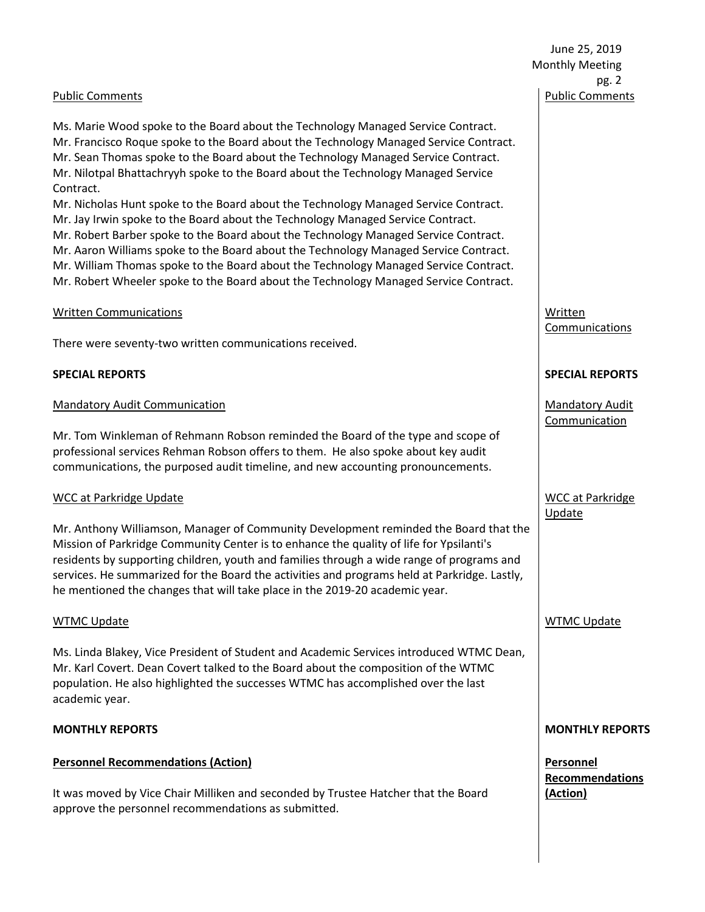June 25, 2019 Monthly Meeting pg. 2 Public Comments

#### Public Comments

 Ms. Marie Wood spoke to the Board about the Technology Managed Service Contract. Mr. Francisco Roque spoke to the Board about the Technology Managed Service Contract. Mr. Nilotpal Bhattachryyh spoke to the Board about the Technology Managed Service Mr. Sean Thomas spoke to the Board about the Technology Managed Service Contract. Contract.

 Mr. Nicholas Hunt spoke to the Board about the Technology Managed Service Contract. Mr. Jay Irwin spoke to the Board about the Technology Managed Service Contract. Mr. Aaron Williams spoke to the Board about the Technology Managed Service Contract. Mr. William Thomas spoke to the Board about the Technology Managed Service Contract. Mr. Robert Wheeler spoke to the Board about the Technology Managed Service Contract. Mr. Robert Barber spoke to the Board about the Technology Managed Service Contract.

#### Written Communications

There were seventy-two written communications received.

#### **SPECIAL REPORTS**

#### Mandatory Audit Communication

 Mr. Tom Winkleman of Rehmann Robson reminded the Board of the type and scope of professional services Rehman Robson offers to them. He also spoke about key audit communications, the purposed audit timeline, and new accounting pronouncements.

#### WCC at Parkridge Update

 Mr. Anthony Williamson, Manager of Community Development reminded the Board that the Mission of Parkridge Community Center is to enhance the quality of life for Ypsilanti's he mentioned the changes that will take place in the 2019-20 academic year. residents by supporting children, youth and families through a wide range of programs and services. He summarized for the Board the activities and programs held at Parkridge. Lastly,

#### WTMC Update

 population. He also highlighted the successes WTMC has accomplished over the last academic year. Ms. Linda Blakey, Vice President of Student and Academic Services introduced WTMC Dean, Mr. Karl Covert. Dean Covert talked to the Board about the composition of the WTMC

#### **MONTHLY REPORTS**

#### **Personnel Recommendations (Action)**

It was moved by Vice Chair Milliken and seconded by Trustee Hatcher that the Board approve the personnel recommendations as submitted.

Written Communications

#### **SPECIAL REPORTS**

Mandatory Audit Communication

WCC at Parkridge **Update** 

WTMC Update

#### **MONTHLY REPORTS**

**Personnel Recommendations (Action)**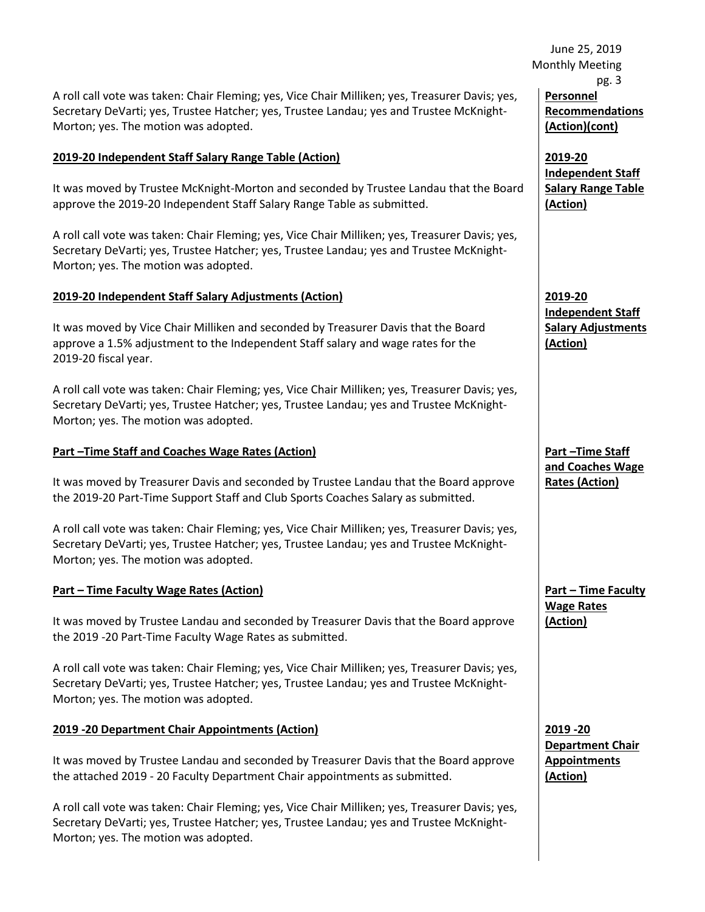Secretary DeVarti; yes, Trustee Hatcher; yes, Trustee Landau; yes and Trustee McKnight-A roll call vote was taken: Chair Fleming; yes, Vice Chair Milliken; yes, Treasurer Davis; yes, Morton; yes. The motion was adopted.

#### **2019-20 Independent Staff Salary Range Table (Action)**

 It was moved by Trustee McKnight-Morton and seconded by Trustee Landau that the Board approve the 2019-20 Independent Staff Salary Range Table as submitted.

 A roll call vote was taken: Chair Fleming; yes, Vice Chair Milliken; yes, Treasurer Davis; yes, Secretary DeVarti; yes, Trustee Hatcher; yes, Trustee Landau; yes and Trustee McKnight-Morton; yes. The motion was adopted.

#### **2019-20 Independent Staff Salary Adjustments (Action)**

 It was moved by Vice Chair Milliken and seconded by Treasurer Davis that the Board approve a 1.5% adjustment to the Independent Staff salary and wage rates for the 2019-20 fiscal year.

 Secretary DeVarti; yes, Trustee Hatcher; yes, Trustee Landau; yes and Trustee McKnight-A roll call vote was taken: Chair Fleming; yes, Vice Chair Milliken; yes, Treasurer Davis; yes, Morton; yes. The motion was adopted.

## **Part –Time Staff and Coaches Wage Rates (Action)**

It was moved by Treasurer Davis and seconded by Trustee Landau that the Board approve the 2019-20 Part-Time Support Staff and Club Sports Coaches Salary as submitted.

 A roll call vote was taken: Chair Fleming; yes, Vice Chair Milliken; yes, Treasurer Davis; yes, Secretary DeVarti; yes, Trustee Hatcher; yes, Trustee Landau; yes and Trustee McKnight-Morton; yes. The motion was adopted.

## **Part – Time Faculty Wage Rates (Action)**

 It was moved by Trustee Landau and seconded by Treasurer Davis that the Board approve the 2019 -20 Part-Time Faculty Wage Rates as submitted.

A roll call vote was taken: Chair Fleming; yes, Vice Chair Milliken; yes, Treasurer Davis; yes, Secretary DeVarti; yes, Trustee Hatcher; yes, Trustee Landau; yes and Trustee McKnight-Morton; yes. The motion was adopted.

#### **2019 -20 Department Chair Appointments (Action)**

 It was moved by Trustee Landau and seconded by Treasurer Davis that the Board approve the attached 2019 - 20 Faculty Department Chair appointments as submitted.

 Secretary DeVarti; yes, Trustee Hatcher; yes, Trustee Landau; yes and Trustee McKnight-A roll call vote was taken: Chair Fleming; yes, Vice Chair Milliken; yes, Treasurer Davis; yes, Morton; yes. The motion was adopted.

 June 25, 2019 Monthly Meeting pg. 3 **Personnel Recommendations (Action)(cont)** 

> **2019-20 Independent Staff Salary Range Table (Action)**

**2019-20 Independent Staff Salary Adjustments (Action)** 

**Part –Time Staff and Coaches Wage Rates (Action)** 

**Part – Time Faculty Wage Rates (Action)** 

**2019 -20 Department Chair Appointments (Action)**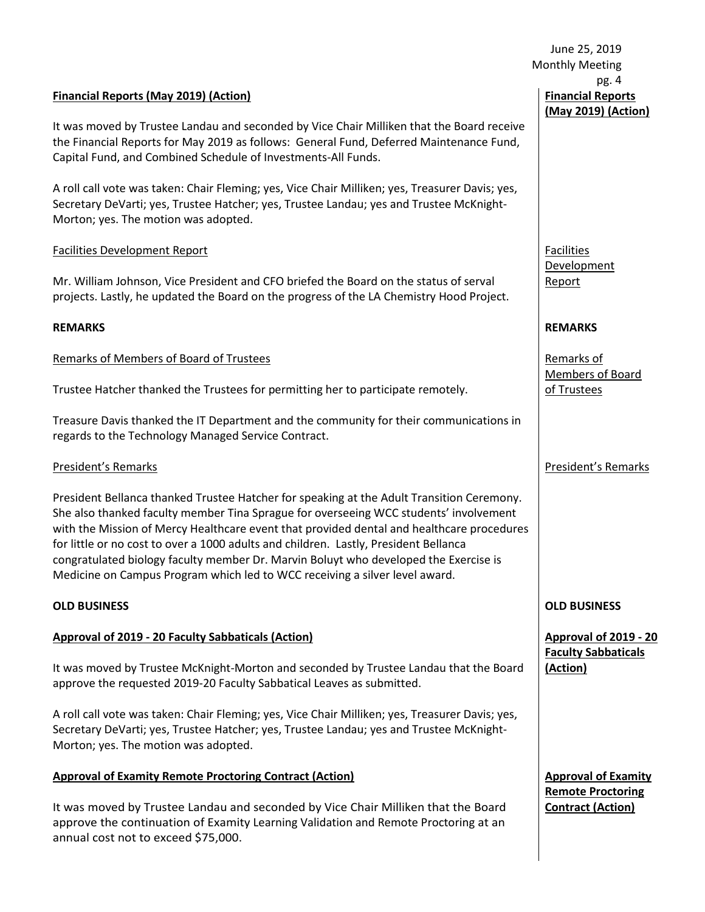#### **Financial Reports (May 2019) (Action)**

It was moved by Trustee Landau and seconded by Vice Chair Milliken that the Board receive the Financial Reports for May 2019 as follows: General Fund, Deferred Maintenance Fund, Capital Fund, and Combined Schedule of Investments-All Funds.

 Secretary DeVarti; yes, Trustee Hatcher; yes, Trustee Landau; yes and Trustee McKnight-A roll call vote was taken: Chair Fleming; yes, Vice Chair Milliken; yes, Treasurer Davis; yes, Morton; yes. The motion was adopted.

#### Facilities Development Report

 Mr. William Johnson, Vice President and CFO briefed the Board on the status of serval projects. Lastly, he updated the Board on the progress of the LA Chemistry Hood Project.

#### **REMARKS**

## Remarks of Members of Board of Trustees

Trustee Hatcher thanked the Trustees for permitting her to participate remotely.

Treasure Davis thanked the IT Department and the community for their communications in regards to the Technology Managed Service Contract.

#### President's Remarks

 She also thanked faculty member Tina Sprague for overseeing WCC students' involvement with the Mission of Mercy Healthcare event that provided dental and healthcare procedures for little or no cost to over a 1000 adults and children. Lastly, President Bellanca congratulated biology faculty member Dr. Marvin Boluyt who developed the Exercise is Medicine on Campus Program which led to WCC receiving a silver level award. President Bellanca thanked Trustee Hatcher for speaking at the Adult Transition Ceremony.

#### **OLD BUSINESS**

## **Approval of 2019 - 20 Faculty Sabbaticals (Action)**

It was moved by Trustee McKnight-Morton and seconded by Trustee Landau that the Board approve the requested 2019-20 Faculty Sabbatical Leaves as submitted.

 Secretary DeVarti; yes, Trustee Hatcher; yes, Trustee Landau; yes and Trustee McKnight-A roll call vote was taken: Chair Fleming; yes, Vice Chair Milliken; yes, Treasurer Davis; yes, Morton; yes. The motion was adopted.

## **Approval of Examity Remote Proctoring Contract (Action)**

 It was moved by Trustee Landau and seconded by Vice Chair Milliken that the Board approve the continuation of Examity Learning Validation and Remote Proctoring at an annual cost not to exceed \$75,000.

 June 25, 2019 Monthly Meeting pg. 4 **Financial Reports (May 2019) (Action)** 

> Facilities Development Report

#### **REMARKS**

Remarks of Members of Board of Trustees

## President's Remarks

#### **OLD BUSINESS**

 **Approval of 2019 - 20 Faculty Sabbaticals (Action)** 

 **Approval of Examity Remote Proctoring Contract (Action)**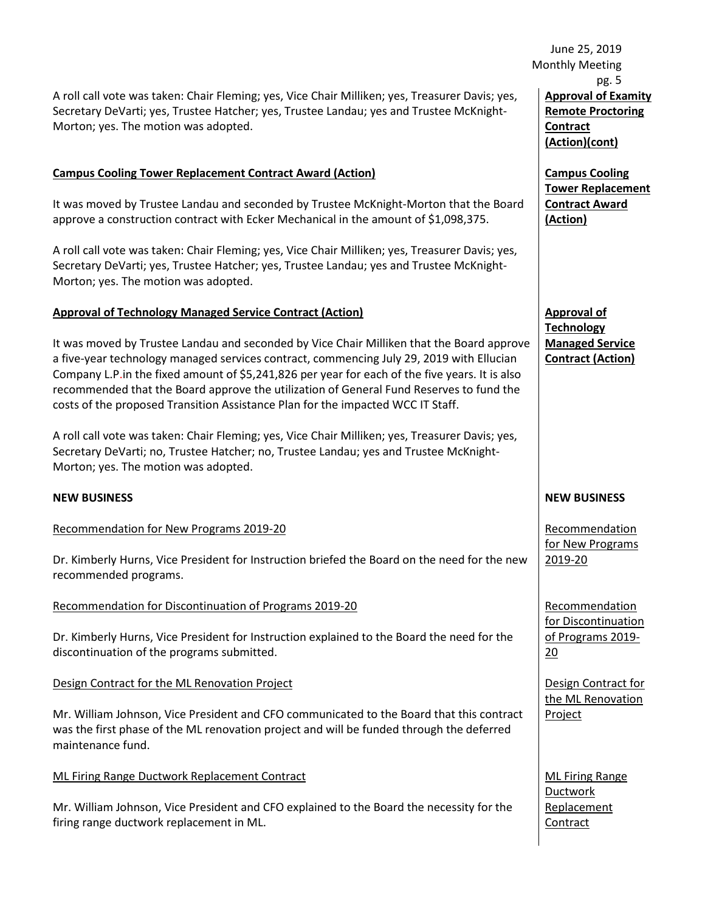Secretary DeVarti; yes, Trustee Hatcher; yes, Trustee Landau; yes and Trustee McKnight-A roll call vote was taken: Chair Fleming; yes, Vice Chair Milliken; yes, Treasurer Davis; yes, Morton; yes. The motion was adopted.

## **Campus Cooling Tower Replacement Contract Award (Action)**

 It was moved by Trustee Landau and seconded by Trustee McKnight-Morton that the Board approve a construction contract with Ecker Mechanical in the amount of \$1,098,375.

 Secretary DeVarti; yes, Trustee Hatcher; yes, Trustee Landau; yes and Trustee McKnight-A roll call vote was taken: Chair Fleming; yes, Vice Chair Milliken; yes, Treasurer Davis; yes, Morton; yes. The motion was adopted.

#### **Approval of Technology Managed Service Contract (Action)**

 a five-year technology managed services contract, commencing July 29, 2019 with Ellucian recommended that the Board approve the utilization of General Fund Reserves to fund the It was moved by Trustee Landau and seconded by Vice Chair Milliken that the Board approve Company L.P.in the fixed amount of \$5,241,826 per year for each of the five years. It is also costs of the proposed Transition Assistance Plan for the impacted WCC IT Staff.

A roll call vote was taken: Chair Fleming; yes, Vice Chair Milliken; yes, Treasurer Davis; yes, Secretary DeVarti; no, Trustee Hatcher; no, Trustee Landau; yes and Trustee McKnight-Morton; yes. The motion was adopted.

#### **NEW BUSINESS**

Recommendation for New Programs 2019-20

 Dr. Kimberly Hurns, Vice President for Instruction briefed the Board on the need for the new recommended programs.

Recommendation for Discontinuation of Programs 2019-20

Dr. Kimberly Hurns, Vice President for Instruction explained to the Board the need for the discontinuation of the programs submitted.

Design Contract for the ML Renovation Project

 was the first phase of the ML renovation project and will be funded through the deferred Mr. William Johnson, Vice President and CFO communicated to the Board that this contract maintenance fund.

ML Firing Range Ductwork Replacement Contract

Mr. William Johnson, Vice President and CFO explained to the Board the necessity for the firing range ductwork replacement in ML.

 June 25, 2019  **Approval of Examity**  Monthly Meeting pg. 5 **Remote Proctoring Contract (Action)(cont)** 

> **Campus Cooling Tower Replacement Contract Award (Action)**

**Approval of Technology Managed Service Contract (Action)** 

#### **NEW BUSINESS**

Recommendation for New Programs 2019-20

 $20$ Recommendation for Discontinuation of Programs 2019-

Design Contract for the ML Renovation Project

ML Firing Range Ductwork Replacement **Contract**